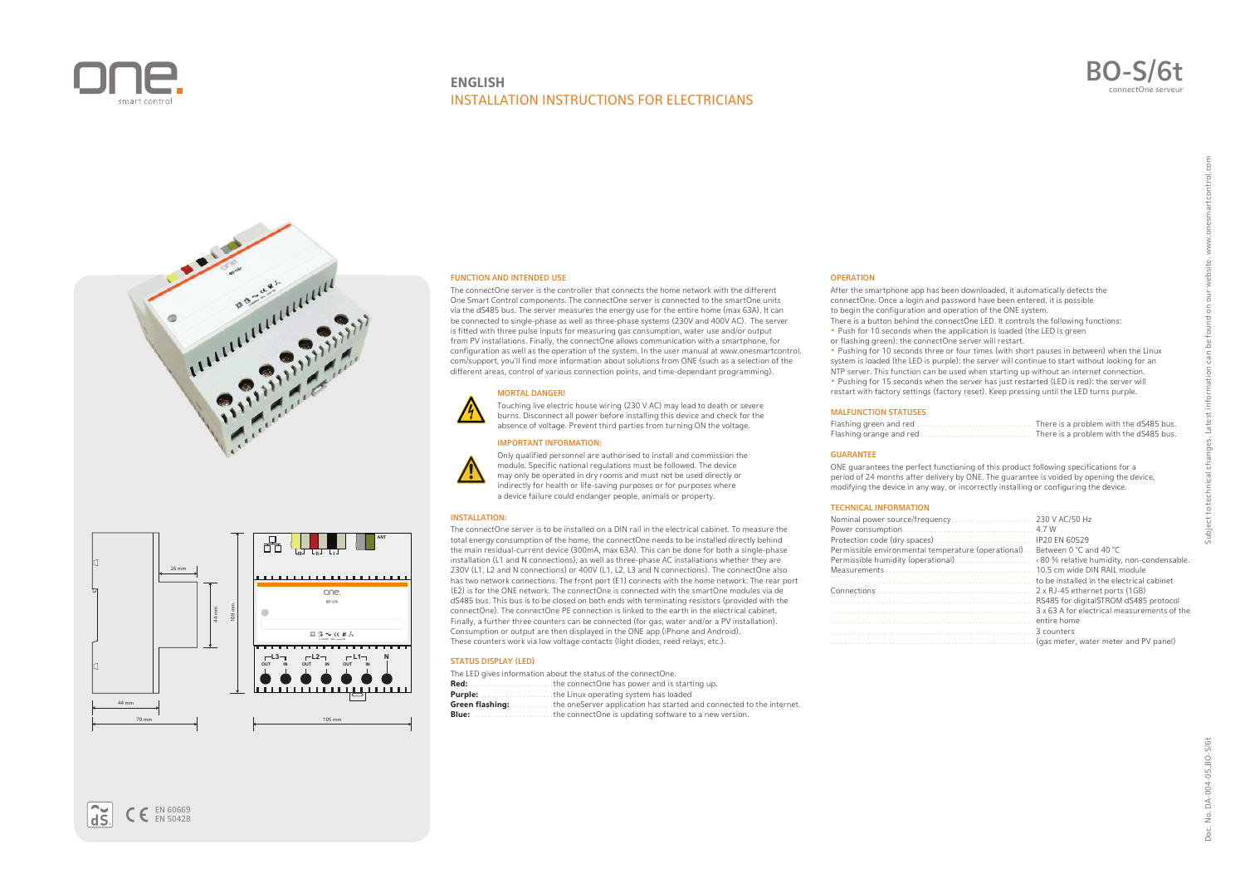

# **ENGLISH** INSTALLATION INSTRUCTIONS FOR ELECTRICIANS







## FUNCTION AND INTENDED USE

The connectOne server is the controller that connects the home network with the different One Smart Control components. The connectOne server is connected to the smartOne units via the dS485 bus. The server measures the energy use for the entire home (max 63A). It can be connected to single-phase as well as three-phase systems (230V and 400V AC). The server is fitted with three pulse inputs for measuring gas consumption, water use and/or output from PV installations. Finally, the connectOne allows communication with a smartphone, for configuration as well as the operation of the system. In the user manual at www.onesmartcontrol. com/support, you'll find more information about solutions from ONE (such as a selection of the different areas, control of various connection points, and time-dependant programming).

## MORTAL DANGER!

Touching live electric house wiring (230 V AC) may lead to death or severe burns. Disconnect all power before installing this device and check for the absence of voltage. Prevent third parties from turning ON the voltage.

#### IMPORTANT INFORMATION:



Only qualified personnel are authorised to install and commission the module. Specific national regulations must be followed. The device may only be operated in dry rooms and must not be used directly or indirectly for health or life-saving purposes or for purposes where a device failure could endanger people, animals or property.

#### INSTALLATION:

The connectOne server is to be installed on a DIN rail in the electrical cabinet. To measure the total energy consumption of the home, the connectOne needs to be installed directly behind the main residual-current device (300mA, max 63A). This can be done for both a single-phase installation (L1 and N connections), as well as three-phase AC installations whether they are 230V (L1, L2 and N connections) or 400V (L1, L2, L3 and N connections). The connectOne also has two network connections. The front port (E1) connects with the home network. The rear port (E2) is for the ONE network. The connectOne is connected with the smartOne modules via de dS485 bus. This bus is to be closed on both ends with terminating resistors (provided with the connectOne). The connectOne PE connection is linked to the earth in the electrical cabinet. Finally, a further three counters can be connected (for gas, water and/or a PV installation). Consumption or output are then displayed in the ONE app (iPhone and Android). These counters work via low voltage contacts (light diodes, reed relays, etc.).

## STATUS DISPLAY (LED)

The LED gives information about the status of the connectOne. **Red:** . . . . . . . . . . . . . . . . . . . . . . . .the connectOne has power and is starting up. **Purple:** . . . . . . . . . . . . . . . . . . . . .the Linux operating system has loaded . . . the oneServer application has started and connected to the internet. **Blue:** .............................the connectOne is updating software to a new version.

## **OPERATION**

After the smartphone app has been downloaded, it automatically detects the connectOne. Once a login and password have been entered, it is possible to begin the configuration and operation of the ONE system. There is a button behind the connectOne LED. It controls the following functions: **•** Push for 10 seconds when the application is loaded (the LED is green

or flashing green): the connectOne server will restart.

**•** Pushing for 10 seconds three or four times (with short pauses in between) when the Linux system is loaded (the LED is purple): the server will continue to start without looking for an NTP server. This function can be used when starting up without an internet connection. **•** Pushing for 15 seconds when the server has just restarted (LED is red): the server will restart with factory settings (factory reset). Keep pressing until the LED turns purple.

#### MALFUNCTION STATUSES

|                         | . There is a problem with the dS485 bus. |
|-------------------------|------------------------------------------|
| Flashing orange and red | There is a problem with the dS485 bus.   |

# GUARANTEE

ONE guarantees the perfect functioning of this product following specifications for a period of 24 months after delivery by ONE. The guarantee is voided by opening the device, modifying the device in any way, or incorrectly installing or configuring the device.

# TECHNICAL INFORMATION

| Permissible environmental temperature (operational) Between 0 °C and 40 °C | to be installed in the electrical cabinet                  |
|----------------------------------------------------------------------------|------------------------------------------------------------|
|                                                                            |                                                            |
|                                                                            | RS485 for digitalSTROM dS485 protocol                      |
|                                                                            | 3 x 63 A for electrical measurements of the<br>entire home |
|                                                                            |                                                            |
|                                                                            | 3 counters                                                 |
|                                                                            | (gas meter, water meter and PV panel)                      |

found on our

Subject to technical changes. Latest information can be

 $\tilde{dS}$  $\epsilon$